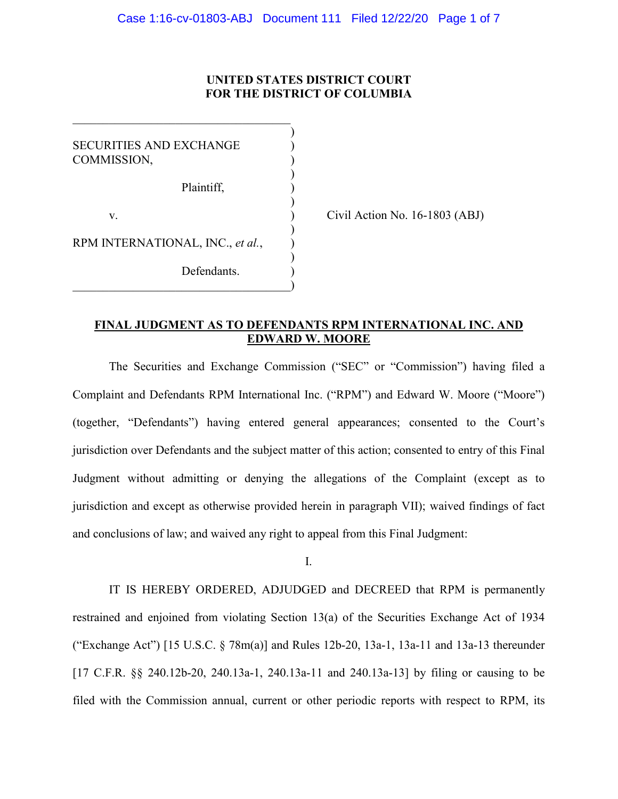# **UNITED STATES DISTRICT COURT FOR THE DISTRICT OF COLUMBIA**

) SECURITIES AND EXCHANGE COMMISSION, ) Plaintiff, ) ) v. ) Civil Action No. 16-1803 (ABJ) ) RPM INTERNATIONAL, INC., *et al.*, ) ) Defendants.  $\qquad \qquad \qquad \qquad \qquad$ 

 $\overline{\mathcal{L}}$  , and the state of the state of the state of the state of the state of the state of the state of the state of the state of the state of the state of the state of the state of the state of the state of the stat

# **FINAL JUDGMENT AS TO DEFENDANTS RPM INTERNATIONAL INC. AND EDWARD W. MOORE**

The Securities and Exchange Commission ("SEC" or "Commission") having filed a Complaint and Defendants RPM International Inc. ("RPM") and Edward W. Moore ("Moore") (together, "Defendants") having entered general appearances; consented to the Court's jurisdiction over Defendants and the subject matter of this action; consented to entry of this Final Judgment without admitting or denying the allegations of the Complaint (except as to jurisdiction and except as otherwise provided herein in paragraph VII); waived findings of fact and conclusions of law; and waived any right to appeal from this Final Judgment:

## I.

IT IS HEREBY ORDERED, ADJUDGED and DECREED that RPM is permanently restrained and enjoined from violating Section 13(a) of the Securities Exchange Act of 1934 ("Exchange Act") [15 U.S.C. § 78m(a)] and Rules 12b-20, 13a-1, 13a-11 and 13a-13 thereunder [17 C.F.R. §§ 240.12b-20, 240.13a-1, 240.13a-11 and 240.13a-13] by filing or causing to be filed with the Commission annual, current or other periodic reports with respect to RPM, its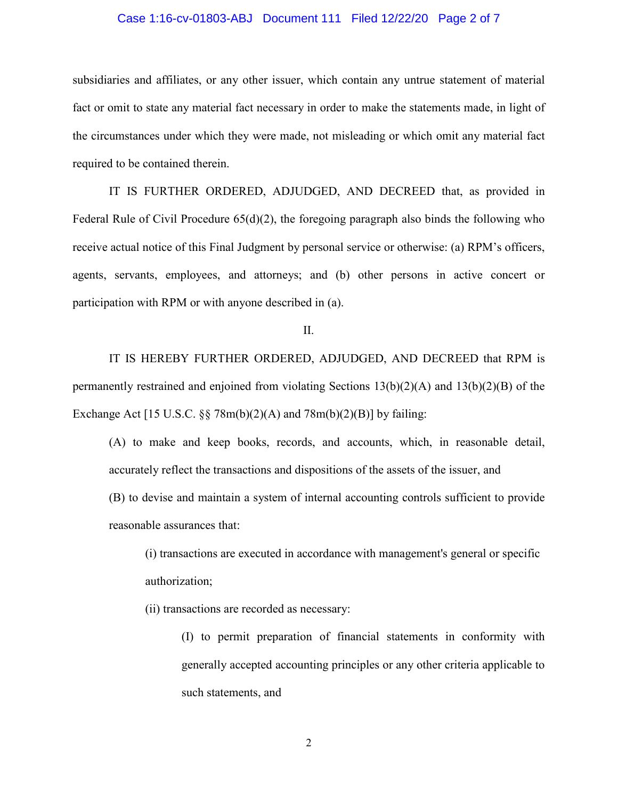## Case 1:16-cv-01803-ABJ Document 111 Filed 12/22/20 Page 2 of 7

subsidiaries and affiliates, or any other issuer, which contain any untrue statement of material fact or omit to state any material fact necessary in order to make the statements made, in light of the circumstances under which they were made, not misleading or which omit any material fact required to be contained therein.

IT IS FURTHER ORDERED, ADJUDGED, AND DECREED that, as provided in Federal Rule of Civil Procedure 65(d)(2), the foregoing paragraph also binds the following who receive actual notice of this Final Judgment by personal service or otherwise: (a) RPM's officers, agents, servants, employees, and attorneys; and (b) other persons in active concert or participation with RPM or with anyone described in (a).

# II.

IT IS HEREBY FURTHER ORDERED, ADJUDGED, AND DECREED that RPM is permanently restrained and enjoined from violating Sections  $13(b)(2)(A)$  and  $13(b)(2)(B)$  of the Exchange Act  $[15 \text{ U.S.C. } \S \S 78 \text{m(b)}(2)(A)$  and  $78 \text{m(b)}(2)(B)]$  by failing:

(A) to make and keep books, records, and accounts, which, in reasonable detail, accurately reflect the transactions and dispositions of the assets of the issuer, and

(B) to devise and maintain a system of internal accounting controls sufficient to provide reasonable assurances that:

(i) transactions are executed in accordance with management's general or specific authorization;

(ii) transactions are recorded as necessary:

(I) to permit preparation of financial statements in conformity with generally accepted accounting principles or any other criteria applicable to such statements, and

2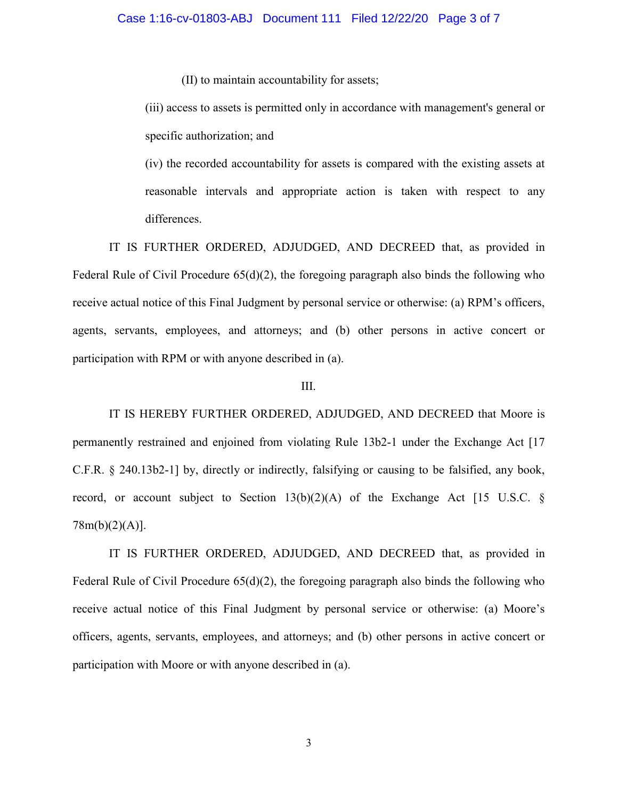(II) to maintain accountability for assets;

(iii) access to assets is permitted only in accordance with management's general or specific authorization; and

(iv) the recorded accountability for assets is compared with the existing assets at reasonable intervals and appropriate action is taken with respect to any differences.

IT IS FURTHER ORDERED, ADJUDGED, AND DECREED that, as provided in Federal Rule of Civil Procedure 65(d)(2), the foregoing paragraph also binds the following who receive actual notice of this Final Judgment by personal service or otherwise: (a) RPM's officers, agents, servants, employees, and attorneys; and (b) other persons in active concert or participation with RPM or with anyone described in (a).

#### III.

IT IS HEREBY FURTHER ORDERED, ADJUDGED, AND DECREED that Moore is permanently restrained and enjoined from violating Rule 13b2-1 under the Exchange Act [17 C.F.R. § 240.13b2-1] by, directly or indirectly, falsifying or causing to be falsified, any book, record, or account subject to Section  $13(b)(2)(A)$  of the Exchange Act [15 U.S.C. § 78m(b)(2)(A)].

IT IS FURTHER ORDERED, ADJUDGED, AND DECREED that, as provided in Federal Rule of Civil Procedure 65(d)(2), the foregoing paragraph also binds the following who receive actual notice of this Final Judgment by personal service or otherwise: (a) Moore's officers, agents, servants, employees, and attorneys; and (b) other persons in active concert or participation with Moore or with anyone described in (a).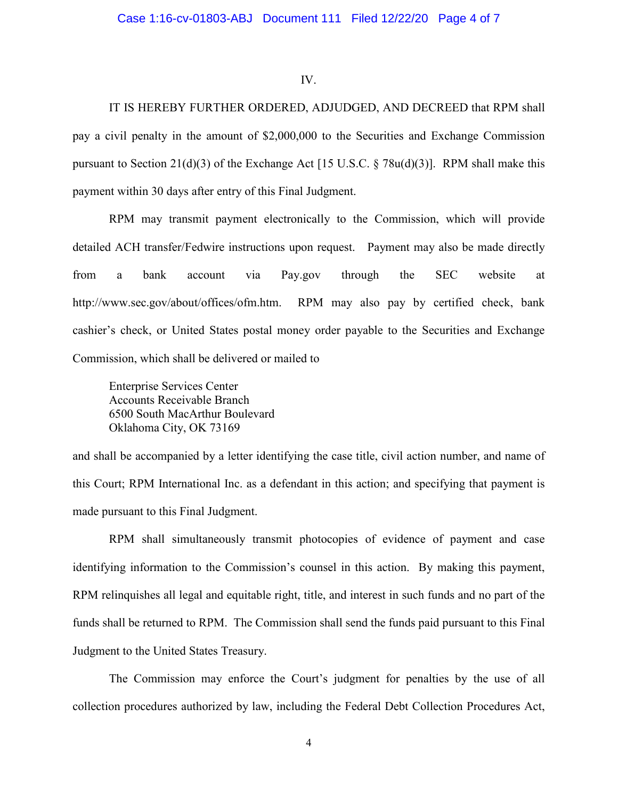#### IV.

IT IS HEREBY FURTHER ORDERED, ADJUDGED, AND DECREED that RPM shall pay a civil penalty in the amount of \$2,000,000 to the Securities and Exchange Commission pursuant to Section 21(d)(3) of the Exchange Act [15 U.S.C.  $\S$  78u(d)(3)]. RPM shall make this payment within 30 days after entry of this Final Judgment.

RPM may transmit payment electronically to the Commission, which will provide detailed ACH transfer/Fedwire instructions upon request. Payment may also be made directly from a bank account via Pay.gov through the SEC website at http://www.sec.gov/about/offices/ofm.htm. RPM may also pay by certified check, bank cashier's check, or United States postal money order payable to the Securities and Exchange Commission, which shall be delivered or mailed to

Enterprise Services Center Accounts Receivable Branch 6500 South MacArthur Boulevard Oklahoma City, OK 73169

and shall be accompanied by a letter identifying the case title, civil action number, and name of this Court; RPM International Inc. as a defendant in this action; and specifying that payment is made pursuant to this Final Judgment.

RPM shall simultaneously transmit photocopies of evidence of payment and case identifying information to the Commission's counsel in this action. By making this payment, RPM relinquishes all legal and equitable right, title, and interest in such funds and no part of the funds shall be returned to RPM. The Commission shall send the funds paid pursuant to this Final Judgment to the United States Treasury.

The Commission may enforce the Court's judgment for penalties by the use of all collection procedures authorized by law, including the Federal Debt Collection Procedures Act,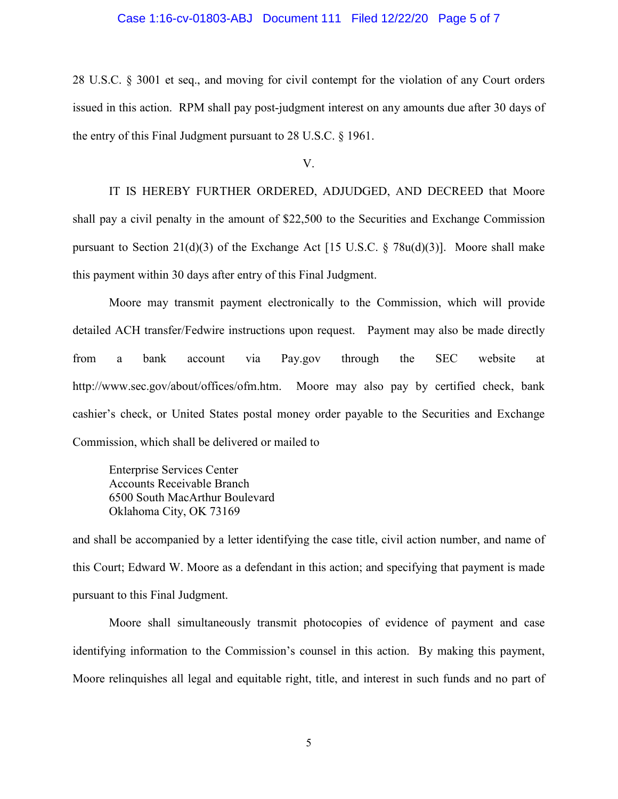## Case 1:16-cv-01803-ABJ Document 111 Filed 12/22/20 Page 5 of 7

28 U.S.C. § 3001 et seq., and moving for civil contempt for the violation of any Court orders issued in this action. RPM shall pay post-judgment interest on any amounts due after 30 days of the entry of this Final Judgment pursuant to 28 U.S.C. § 1961.

V.

IT IS HEREBY FURTHER ORDERED, ADJUDGED, AND DECREED that Moore shall pay a civil penalty in the amount of \$22,500 to the Securities and Exchange Commission pursuant to Section 21(d)(3) of the Exchange Act [15 U.S.C.  $\S$  78u(d)(3)]. Moore shall make this payment within 30 days after entry of this Final Judgment.

Moore may transmit payment electronically to the Commission, which will provide detailed ACH transfer/Fedwire instructions upon request. Payment may also be made directly from a bank account via Pay.gov through the SEC website at http://www.sec.gov/about/offices/ofm.htm. Moore may also pay by certified check, bank cashier's check, or United States postal money order payable to the Securities and Exchange Commission, which shall be delivered or mailed to

Enterprise Services Center Accounts Receivable Branch 6500 South MacArthur Boulevard Oklahoma City, OK 73169

and shall be accompanied by a letter identifying the case title, civil action number, and name of this Court; Edward W. Moore as a defendant in this action; and specifying that payment is made pursuant to this Final Judgment.

Moore shall simultaneously transmit photocopies of evidence of payment and case identifying information to the Commission's counsel in this action. By making this payment, Moore relinquishes all legal and equitable right, title, and interest in such funds and no part of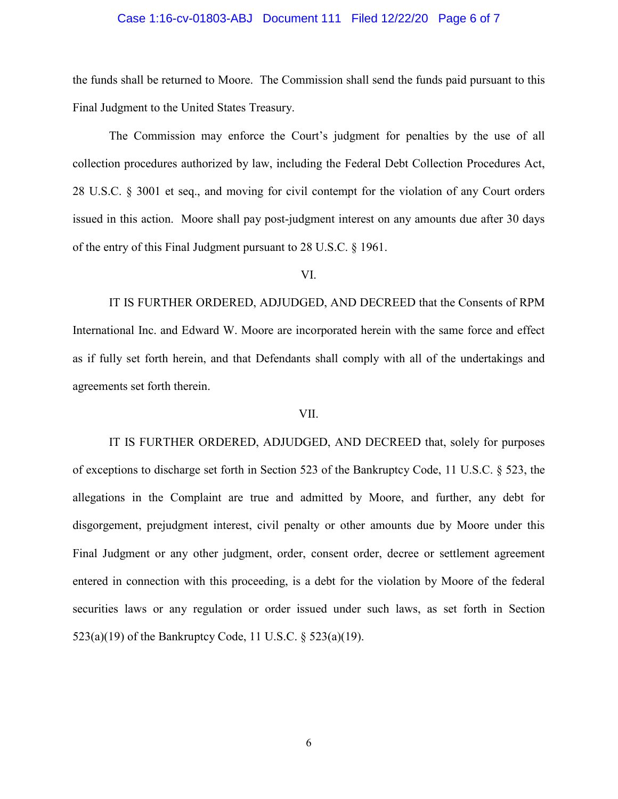## Case 1:16-cv-01803-ABJ Document 111 Filed 12/22/20 Page 6 of 7

the funds shall be returned to Moore. The Commission shall send the funds paid pursuant to this Final Judgment to the United States Treasury.

The Commission may enforce the Court's judgment for penalties by the use of all collection procedures authorized by law, including the Federal Debt Collection Procedures Act, 28 U.S.C. § 3001 et seq., and moving for civil contempt for the violation of any Court orders issued in this action. Moore shall pay post-judgment interest on any amounts due after 30 days of the entry of this Final Judgment pursuant to 28 U.S.C. § 1961.

VI.

IT IS FURTHER ORDERED, ADJUDGED, AND DECREED that the Consents of RPM International Inc. and Edward W. Moore are incorporated herein with the same force and effect as if fully set forth herein, and that Defendants shall comply with all of the undertakings and agreements set forth therein.

#### VII.

IT IS FURTHER ORDERED, ADJUDGED, AND DECREED that, solely for purposes of exceptions to discharge set forth in Section 523 of the Bankruptcy Code, 11 U.S.C. § 523, the allegations in the Complaint are true and admitted by Moore, and further, any debt for disgorgement, prejudgment interest, civil penalty or other amounts due by Moore under this Final Judgment or any other judgment, order, consent order, decree or settlement agreement entered in connection with this proceeding, is a debt for the violation by Moore of the federal securities laws or any regulation or order issued under such laws, as set forth in Section 523(a)(19) of the Bankruptcy Code, 11 U.S.C. § 523(a)(19).